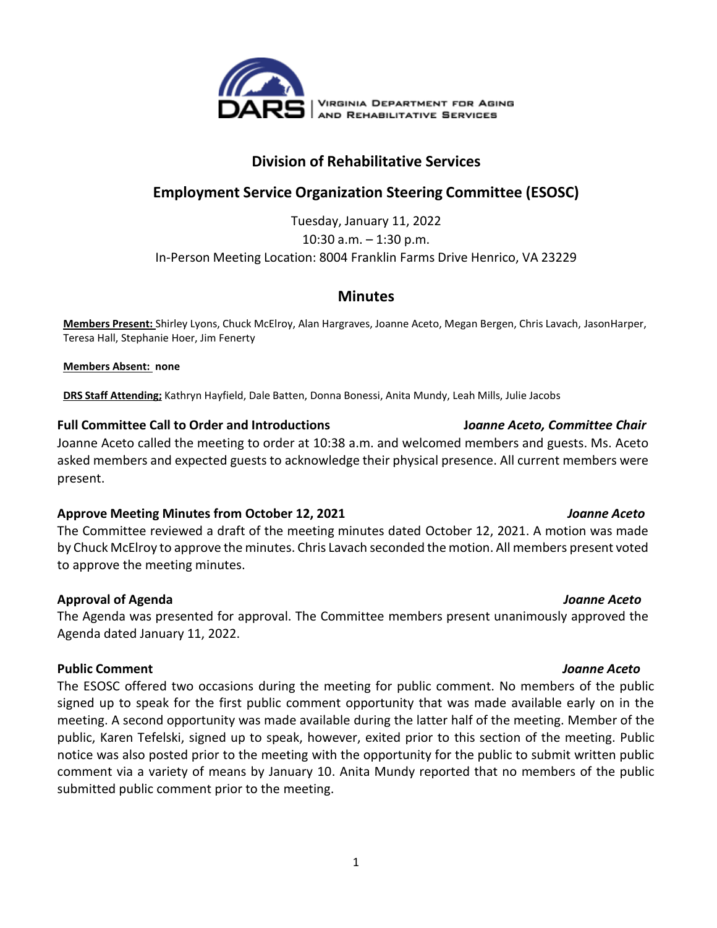

# **Division of Rehabilitative Services**

# **Employment Service Organization Steering Committee (ESOSC)**

Tuesday, January 11, 2022 10:30 a.m. – 1:30 p.m. In-Person Meeting Location: 8004 Franklin Farms Drive Henrico, VA 23229

## **Minutes**

**Members Present:** Shirley Lyons, Chuck McElroy, Alan Hargraves, Joanne Aceto, Megan Bergen, Chris Lavach, JasonHarper, Teresa Hall, Stephanie Hoer, Jim Fenerty

**Members Absent: none**

**DRS Staff Attending;** Kathryn Hayfield, Dale Batten, Donna Bonessi, Anita Mundy, Leah Mills, Julie Jacobs

## **Full Committee Call to Order and Introductions J***oanne Aceto, Committee Chair*

Joanne Aceto called the meeting to order at 10:38 a.m. and welcomed members and guests. Ms. Aceto asked members and expected guests to acknowledge their physical presence. All current members were present.

### **Approve Meeting Minutes from October 12, 2021** *Joanne Aceto*

The Committee reviewed a draft of the meeting minutes dated October 12, 2021. A motion was made by Chuck McElroy to approve the minutes. Chris Lavach seconded the motion. All members present voted to approve the meeting minutes.

## **Approval of Agenda** *Joanne Aceto*

The Agenda was presented for approval. The Committee members present unanimously approved the Agenda dated January 11, 2022.

## **Public Comment** *Joanne Aceto*

The ESOSC offered two occasions during the meeting for public comment. No members of the public signed up to speak for the first public comment opportunity that was made available early on in the meeting. A second opportunity was made available during the latter half of the meeting. Member of the public, Karen Tefelski, signed up to speak, however, exited prior to this section of the meeting. Public notice was also posted prior to the meeting with the opportunity for the public to submit written public comment via a variety of means by January 10. Anita Mundy reported that no members of the public submitted public comment prior to the meeting.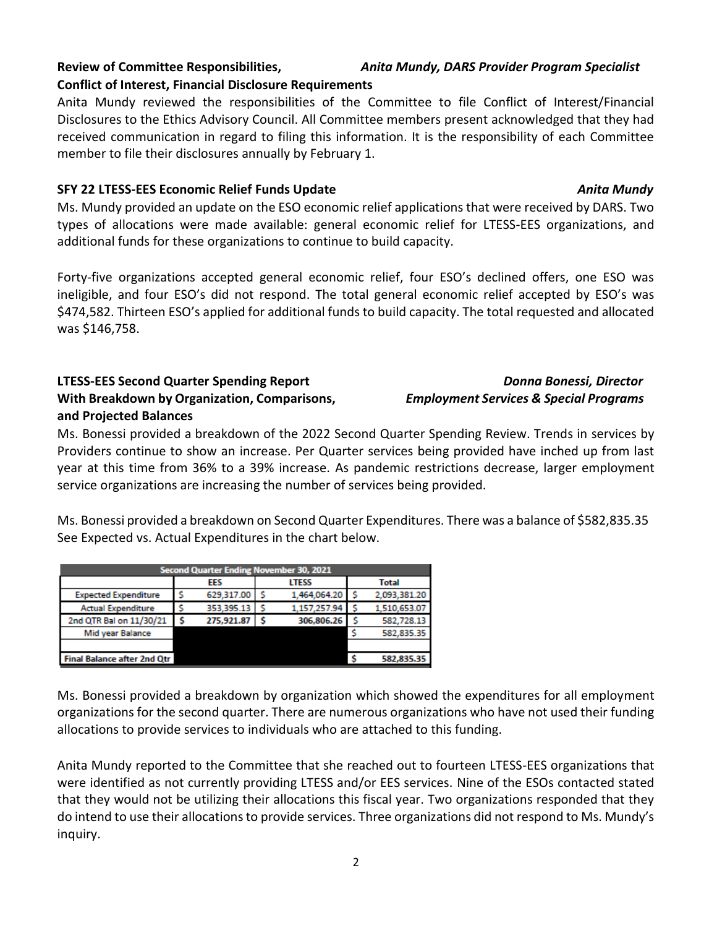## **Review of Committee Responsibilities,** *Anita Mundy, DARS Provider Program Specialist* **Conflict of Interest, Financial Disclosure Requirements**

Anita Mundy reviewed the responsibilities of the Committee to file Conflict of Interest/Financial Disclosures to the Ethics Advisory Council. All Committee members present acknowledged that they had received communication in regard to filing this information. It is the responsibility of each Committee member to file their disclosures annually by February 1.

## **SFY 22 LTESS-EES Economic Relief Funds Update** *Anita Mundy*

Ms. Mundy provided an update on the ESO economic relief applications that were received by DARS. Two types of allocations were made available: general economic relief for LTESS-EES organizations, and additional funds for these organizations to continue to build capacity.

Forty-five organizations accepted general economic relief, four ESO's declined offers, one ESO was ineligible, and four ESO's did not respond. The total general economic relief accepted by ESO's was \$474,582. Thirteen ESO's applied for additional funds to build capacity. The total requested and allocated was \$146,758.

## **LTESS-EES Second Quarter Spending Report** *Donna Bonessi, Director*  **With Breakdown by Organization, Comparisons,** *Employment Services & Special Programs* **and Projected Balances**

**Second Quarter Ending November 30, 2021** 

629,317.00 \$

353,395.13 \$

275,921.87 \$

**LTESS** 

1,464,064.20

1,157,257.94

306,806.26

EES

Ś

s

-S

**Expected Expenditure** 

**Actual Expenditure** 

2nd QTR Bal on 11/30/21

Mid year Balance

**Final Balance after 2nd Qtr** 

Ms. Bonessi provided a breakdown of the 2022 Second Quarter Spending Review. Trends in services by Providers continue to show an increase. Per Quarter services being provided have inched up from last year at this time from 36% to a 39% increase. As pandemic restrictions decrease, larger employment service organizations are increasing the number of services being provided.

Ms. Bonessi provided a breakdown on Second Quarter Expenditures. There was a balance of \$582,835.35 See Expected vs. Actual Expenditures in the chart below.

.s

-S

s

\$

S

**Total** 

2,093,381.20

1,510,653.07

582,728.13

582,835.35

582,835.35

| Ms. Bonessi provided a breakdown by organization which showed the expenditures for all employment      |
|--------------------------------------------------------------------------------------------------------|
| organizations for the second quarter. There are numerous organizations who have not used their funding |
| allocations to provide services to individuals who are attached to this funding.                       |

Anita Mundy reported to the Committee that she reached out to fourteen LTESS-EES organizations that were identified as not currently providing LTESS and/or EES services. Nine of the ESOs contacted stated that they would not be utilizing their allocations this fiscal year. Two organizations responded that they do intend to use their allocations to provide services. Three organizations did not respond to Ms. Mundy's inquiry.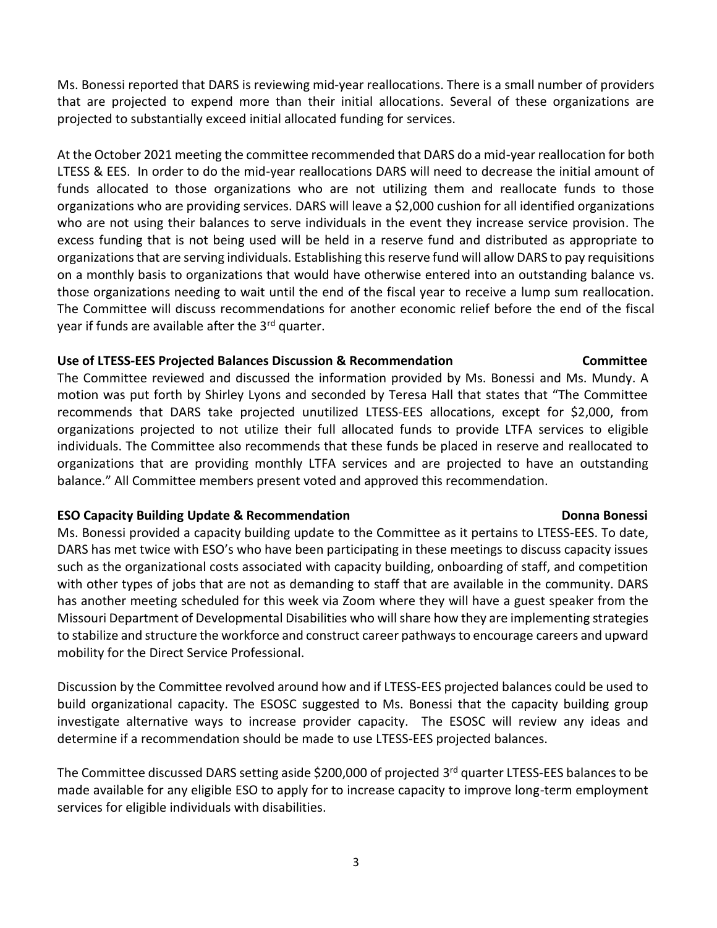Ms. Bonessi reported that DARS is reviewing mid-year reallocations. There is a small number of providers that are projected to expend more than their initial allocations. Several of these organizations are projected to substantially exceed initial allocated funding for services.

At the October 2021 meeting the committee recommended that DARS do a mid-year reallocation for both LTESS & EES. In order to do the mid-year reallocations DARS will need to decrease the initial amount of funds allocated to those organizations who are not utilizing them and reallocate funds to those organizations who are providing services. DARS will leave a \$2,000 cushion for all identified organizations who are not using their balances to serve individuals in the event they increase service provision. The excess funding that is not being used will be held in a reserve fund and distributed as appropriate to organizations that are serving individuals. Establishing this reserve fund will allow DARS to pay requisitions on a monthly basis to organizations that would have otherwise entered into an outstanding balance vs. those organizations needing to wait until the end of the fiscal year to receive a lump sum reallocation. The Committee will discuss recommendations for another economic relief before the end of the fiscal year if funds are available after the 3rd quarter.

### **Use of LTESS-EES Projected Balances Discussion & Recommendation Committee**

The Committee reviewed and discussed the information provided by Ms. Bonessi and Ms. Mundy. A motion was put forth by Shirley Lyons and seconded by Teresa Hall that states that "The Committee recommends that DARS take projected unutilized LTESS-EES allocations, except for \$2,000, from organizations projected to not utilize their full allocated funds to provide LTFA services to eligible individuals. The Committee also recommends that these funds be placed in reserve and reallocated to organizations that are providing monthly LTFA services and are projected to have an outstanding balance." All Committee members present voted and approved this recommendation.

### **ESO Capacity Building Update & Recommendation development of the Donna Bonessi**

Ms. Bonessi provided a capacity building update to the Committee as it pertains to LTESS-EES. To date, DARS has met twice with ESO's who have been participating in these meetings to discuss capacity issues such as the organizational costs associated with capacity building, onboarding of staff, and competition with other types of jobs that are not as demanding to staff that are available in the community. DARS has another meeting scheduled for this week via Zoom where they will have a guest speaker from the Missouri Department of Developmental Disabilities who will share how they are implementing strategies to stabilize and structure the workforce and construct career pathways to encourage careers and upward mobility for the Direct Service Professional.

Discussion by the Committee revolved around how and if LTESS-EES projected balances could be used to build organizational capacity. The ESOSC suggested to Ms. Bonessi that the capacity building group investigate alternative ways to increase provider capacity. The ESOSC will review any ideas and determine if a recommendation should be made to use LTESS-EES projected balances.

The Committee discussed DARS setting aside \$200,000 of projected 3<sup>rd</sup> quarter LTESS-EES balances to be made available for any eligible ESO to apply for to increase capacity to improve long-term employment services for eligible individuals with disabilities.